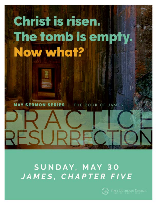# Christ is risen. The tomb is empty. Now what?

**MAY SERMON SERIES** THE BOOK OF JAMES

ESURI

### SUNDAY, MAY 30 JAMES, CHAPTER FIVE

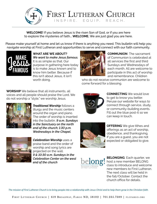

FIRST LUTHERAN CHURCH INSPIRE. EQUIP. REACH.

**WELCOME!** If you believe Jesus is the risen Son of God, or if you are here to explore the mysteries of faith... **WELCOME.** We are just glad you are here.

Please make yourself at home and let us know if there is anything you need. This bulletin will help you navigate worship at First Lutheran and opportunities to serve and connect with our faith community.



**WHAT ARE WE ABOUT?**  *We want to make Jesus famous.*  It is as simple as that. Our purpose in gathering here today is to make Jesus known and to know him better. Because if this isn't about Jesus, it isn't worth doing.



**COMMUNION** The sacrament of Communion is celebrated at all services the first and third Sundays and Wednesdays of each month. All are welcome to participate in this act of worship and remembrance. Children

who do not receive communion are welcome to come forward for a blessing.

**WORSHIP** We believe that all instruments, all voices and all people should praise the Lord. We do not worship a "style," we worship Jesus.



*Traditional Worship* follows a liturgy and the music centers around the organ and piano. The order of worship is inserted into the bulletin. *9 a.m. Sundays in the Sanctuary on the north end of the church; 1:30 p.m. Wednesdays in the Chapel.*



*Celebration Worship* uses a praise band and the order of worship and song lyrics are projected on the wall. *9 & 10:30 a.m. Sundays in the Celebration Center on the west end of the church*



**CONNECTING** We would love to get to know you better. Peruse our website for ways to connect through service, study, or community-building events. Fill out the blue post-it so we can keep in touch.



**OFFERING** We give tithes and offerings as an act of worship, obedience, and thanksgiving. If you are a guest, you are not expected or obligated to give.



**BELONGING** Each quarter, we host a new member BELONG class to introduce and welcome new members to First Lutheran. The next class will be held in the fall/October. Contact the church office for details.

*The mission of First Lutheran Church is to bring people into a relationship with Jesus Christ and to help them grow in the Christian faith.*

FIRST LUTHERAN CHURCH | 619 BROADWAY, FARGO ND, 58102 | 701.235.7389 | FLCFARGO.ORG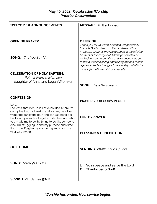### **May 30, 2021: Celebration Worship** *Practice Resurrection*

| <b>WELCOME &amp; ANNOUNCEMENTS</b>                                                                                                                                                                                                                                                                                                 | <b>MESSAGE:</b> Rollie Johnson                                                                                                                                                                                                                                |
|------------------------------------------------------------------------------------------------------------------------------------------------------------------------------------------------------------------------------------------------------------------------------------------------------------------------------------|---------------------------------------------------------------------------------------------------------------------------------------------------------------------------------------------------------------------------------------------------------------|
| <b>OPENING PRAYER</b>                                                                                                                                                                                                                                                                                                              | <b>OFFERING:</b><br>Thank you for your new or continued generosity<br>towards God's mission at First Lutheran Church.<br>In-person offerings may be dropped in the offering                                                                                   |
| <b>SONG:</b> Who You Say I Am                                                                                                                                                                                                                                                                                                      | baskets at the entry/exit. Offerings can also be<br>mailed to the church office and we encourage you<br>to use our online giving and texting options. Please<br>reference the back page of the worship bulletin for<br>more information or visit our website. |
|                                                                                                                                                                                                                                                                                                                                    |                                                                                                                                                                                                                                                               |
| <b>CELEBRATION OF HOLY BAPTISM:</b><br>Palmer Francis Wiemken.<br>daughter of Anna and Logan Wiemken                                                                                                                                                                                                                               | <b>SONG:</b> There Was Jesus                                                                                                                                                                                                                                  |
| <b>CONFESSION:</b>                                                                                                                                                                                                                                                                                                                 | <b>PRAYERS FOR GOD'S PEOPLE</b>                                                                                                                                                                                                                               |
| Lord,<br>I confess, that I feel lost. I have no idea where I'm<br>going. I've lost my bearing and lost my way. I've<br>wandered far off the path and can't seem to get<br>back on my own. I've forgotten who I am and who<br>you made me to be, by trying to be like someone<br>else. I'm struggling to find my purpose and direc- | <b>LORD'S PRAYER</b>                                                                                                                                                                                                                                          |
| tion in life. Forgive my wandering and show me<br>your way. Amen.                                                                                                                                                                                                                                                                  | <b>BLESSING &amp; BENEDICTION</b>                                                                                                                                                                                                                             |
| <b>QUIET TIME</b>                                                                                                                                                                                                                                                                                                                  | <b>SENDING SONG:</b> Child Of Love                                                                                                                                                                                                                            |
| <b>SONG:</b> Through All Of It                                                                                                                                                                                                                                                                                                     | Go in peace and serve the Lord.<br>L:<br>Thanks be to God!<br>$\mathbf{C}$                                                                                                                                                                                    |
| <b>SCRIPTURE:</b> James 5:7-11                                                                                                                                                                                                                                                                                                     |                                                                                                                                                                                                                                                               |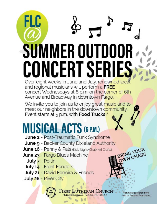# FLC **SUMMER OUTDOOR CONCERT SERIES** Over eight weeks in June and July, renowned local

and regional musicians will perform a FREE concert Wednesdays at 6 p.m. on the corner of 6th Avenue and Broadway in downtown Fargo.

We invite you to join us to enjoy great music and to meet our neighbors in the downtown community. Event starts at 5 p.m. with Food Trucks!\*

## **MUSICAL ACTS (G P.M.)**

- June 2 Post-Traumatic Funk Syndrome
- June 9 Becker County Dixieland Authority
- June 16 Penny & Pals (Kids Night/Chalk Art Crafts)
- June 23 Fargo Blues Machine
	- July 7 Poitin
	- July 14 Front Fenders
	- July 21 David Ferreira & Friends
- July 28 River City



FARGO, ND 58102

Visit flcfargo.org for more info on featured food trucks.

BRING YOUR<br>OWN CHAIR!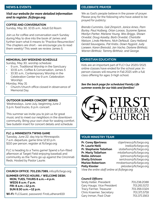#### *Visit our website for more detailed information and to register, flcfargo.org.*

#### **COFFEE AND CONVERSATION**

Sunday, May 30, 10:15 a.m., Adult Ed Room

Join us for coffee and conversation each Sunday during May to dive into the book of James and further learn what it means to "Practice Resurrection." The chapters are short - we encourage you to read them weekly! This week we review James 5.

#### **MEMORIAL DAY WEEKEND SCHEDULE**

Sunday, May 30, worship schedule:

- 9 a.m., Traditional Worship in the Sanctuary
- 10:15 a.m., Coffee & Conversation, James 5
- 10:30 a.m., Contemporary Worship in the Celebration Center (no 9 a.m. Celebration Worship).

Monday, May 31:

• Church/church office closed in observance of Memorial Day

#### **OUTDOOR SUMMER CONCERT SERIES**

Wednesdays, June-July, beginning June 2 5 p.m. food trucks, 6 p.m. concert

This summer we invite you to join us for great music and to meet our neighbors in the downtown community. Bring your own chair for seating comfort. See bulletin insert for concert details and schedule.

#### **FLC @ MINNESOTA TWINS GAME**

Tuesday, June 22, day trip to Minneapolis 7 a.m. departure, game time 12:10 p.m. \$110 per person, register at flcfargo.org

FLC is heading to a Twins game! Spend a fun-filled afternoon at Target Field enjoying baseball and community as the Twins go up against the Cincinnati Reds. Hosted by Pastor Laurie.

#### **CHURCH OFFICE: 701.235.7389,** info@flcfargo.org

**SUMMER OFFICE HOURS / WELCOME DESK: MON, TUES, THURS 8 a.m.—4 p.m. WEDS 8 a.m.-7 p.m. FRI: 8 a.m.—12 p.m. SUN 8:30 a.m.—12 p.m.**

**Wi-Fi:** FLCGuest, password: FirstLutheran619

#### **NEWS & EVENTS CELEBRATE PRAYER**

We as God's people believe in the power of prayer. Please pray for the following who have asked to be prayed for publicly:

*Brenda Cummins, Gail Zimprich, Janice Ames, Pam Burley, Paul Hulberg, Orlan Loraas, Suzanne Spiese, Marilyn Parker, Marlene Young, Wes Briggs, Shawn Orvedal, Doug Aaseby, Barb Orvedal, Charlotte Nielson, Linda Merkens, Nick DeNault, Gary Helland, Gerald Sauvageau, Pat Krebs, Dawn Nygord, Judy Loewen, Karen Breivold, Jan Vacha, Darlene Birkholz, Warren Birkholz, Tammy Birkholz, and George.*

#### **CHRISTIAN EDUCATION**

Kids are an important part of FLC! Our 2020/2021 online classes have ended for the school year. Inperson classes will resume in Fall 2021 with a full class offering for ages 3-high school.

*See the back page for scheduled Family Life summer events for our kids and families!*



#### **YOUR MINISTRY TEAM**

**Pr. Corey Bjertness** cbjertness@flcfargo.org **Pr. Laurie Neill Company** lneill@flcfargo.org **Pr. Stephanie Tollefson** stollefson@flcfargo.org **Pr. Marty Tollefson** mtollefson@flcfargo.org **Rollie Johnson** rjohnson@flcfargo.org **Shelly Erickson** serickson@flcfargo.org **Marlee Robertson** mrobertson@flcfargo.org **Polly Kloster Polly Kloster** pkloster@flcfargo.org *View the entire staff online at flcfargo.org*

#### *Council Officers:*

Sindy Keller, President 701.238.2088 Gary Haugo, Vice President 701.261.5172<br>Tracv Farmer, Treasurer 701.356.0324 Tracy Farmer, Treasurer Chris Kraemer, Secretary 701.371.5718 Gary Inman, Past Chair 701.371.1563